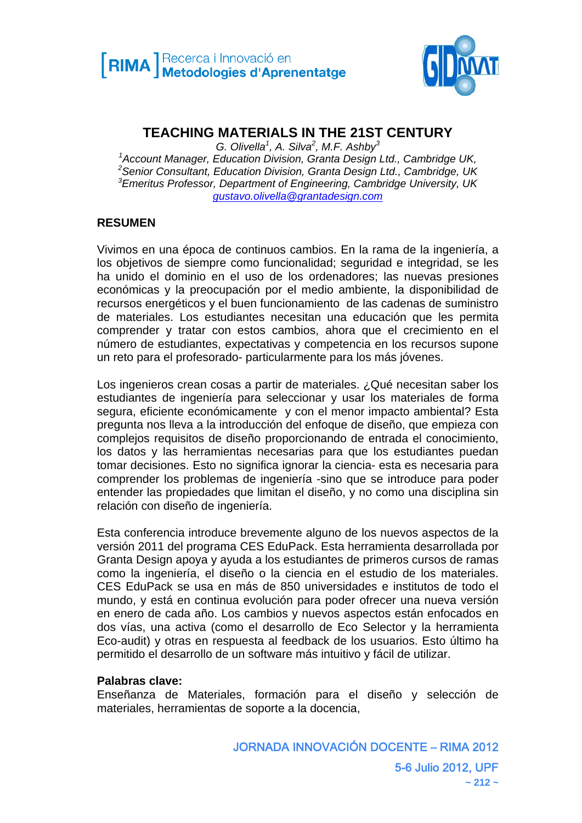

# **TEACHING MATERIALS IN THE 21ST CENTURY**

*G. Olivella<sup>1</sup> , A. Silva<sup>2</sup> , M.F. Ashby<sup>3</sup> 1 Account Manager, Education Division, Granta Design Ltd., Cambridge UK, 2 Senior Consultant, Education Division, Granta Design Ltd., Cambridge, UK 3 Emeritus Professor, Department of Engineering, Cambridge University, UK gustavo.olivella@grantadesign.com*

#### **RESUMEN**

Vivimos en una época de continuos cambios. En la rama de la ingeniería, a los objetivos de siempre como funcionalidad; seguridad e integridad, se les ha unido el dominio en el uso de los ordenadores; las nuevas presiones económicas y la preocupación por el medio ambiente, la disponibilidad de recursos energéticos y el buen funcionamiento de las cadenas de suministro de materiales. Los estudiantes necesitan una educación que les permita comprender y tratar con estos cambios, ahora que el crecimiento en el número de estudiantes, expectativas y competencia en los recursos supone un reto para el profesorado- particularmente para los más jóvenes.

Los ingenieros crean cosas a partir de materiales. ¿Qué necesitan saber los estudiantes de ingeniería para seleccionar y usar los materiales de forma segura, eficiente económicamente y con el menor impacto ambiental? Esta pregunta nos lleva a la introducción del enfoque de diseño, que empieza con complejos requisitos de diseño proporcionando de entrada el conocimiento, los datos y las herramientas necesarias para que los estudiantes puedan tomar decisiones. Esto no significa ignorar la ciencia- esta es necesaria para comprender los problemas de ingeniería -sino que se introduce para poder entender las propiedades que limitan el diseño, y no como una disciplina sin relación con diseño de ingeniería.

Esta conferencia introduce brevemente alguno de los nuevos aspectos de la versión 2011 del programa CES EduPack. Esta herramienta desarrollada por Granta Design apoya y ayuda a los estudiantes de primeros cursos de ramas como la ingeniería, el diseño o la ciencia en el estudio de los materiales. CES EduPack se usa en más de 850 universidades e institutos de todo el mundo, y está en continua evolución para poder ofrecer una nueva versión en enero de cada año. Los cambios y nuevos aspectos están enfocados en dos vías, una activa (como el desarrollo de Eco Selector y la herramienta Eco-audit) y otras en respuesta al feedback de los usuarios. Esto último ha permitido el desarrollo de un software más intuitivo y fácil de utilizar.

#### **Palabras clave:**

Enseñanza de Materiales, formación para el diseño y selección de materiales, herramientas de soporte a la docencia,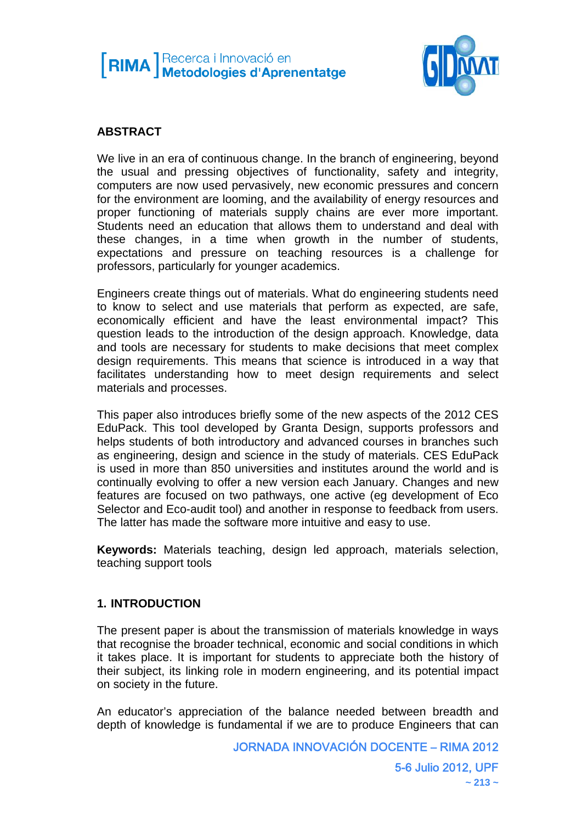



# **ABSTRACT**

We live in an era of continuous change. In the branch of engineering, beyond the usual and pressing objectives of functionality, safety and integrity, computers are now used pervasively, new economic pressures and concern for the environment are looming, and the availability of energy resources and proper functioning of materials supply chains are ever more important. Students need an education that allows them to understand and deal with these changes, in a time when growth in the number of students, expectations and pressure on teaching resources is a challenge for professors, particularly for younger academics.

Engineers create things out of materials. What do engineering students need to know to select and use materials that perform as expected, are safe, economically efficient and have the least environmental impact? This question leads to the introduction of the design approach. Knowledge, data and tools are necessary for students to make decisions that meet complex design requirements. This means that science is introduced in a way that facilitates understanding how to meet design requirements and select materials and processes.

This paper also introduces briefly some of the new aspects of the 2012 CES EduPack. This tool developed by Granta Design, supports professors and helps students of both introductory and advanced courses in branches such as engineering, design and science in the study of materials. CES EduPack is used in more than 850 universities and institutes around the world and is continually evolving to offer a new version each January. Changes and new features are focused on two pathways, one active (eg development of Eco Selector and Eco-audit tool) and another in response to feedback from users. The latter has made the software more intuitive and easy to use.

**Keywords:** Materials teaching, design led approach, materials selection, teaching support tools

# **1. INTRODUCTION**

The present paper is about the transmission of materials knowledge in ways that recognise the broader technical, economic and social conditions in which it takes place. It is important for students to appreciate both the history of their subject, its linking role in modern engineering, and its potential impact on society in the future.

An educator's appreciation of the balance needed between breadth and depth of knowledge is fundamental if we are to produce Engineers that can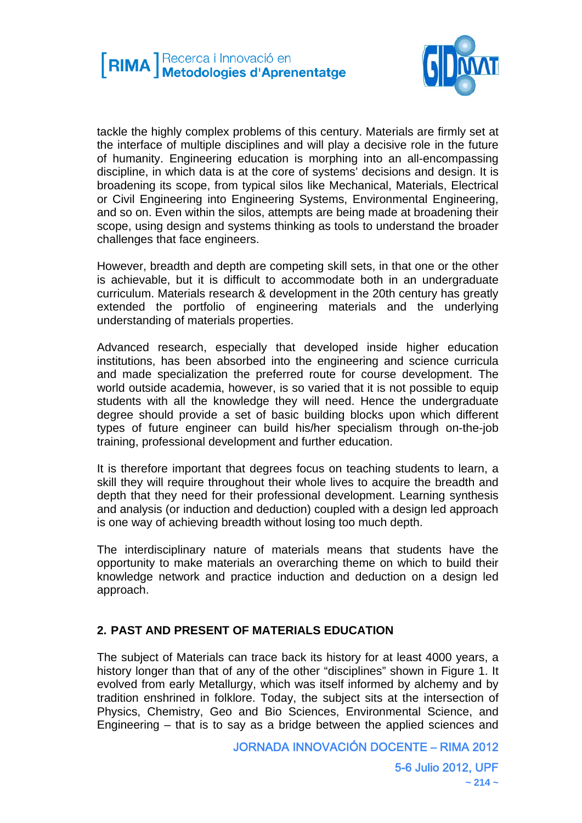

tackle the highly complex problems of this century. Materials are firmly set at the interface of multiple disciplines and will play a decisive role in the future of humanity. Engineering education is morphing into an all-encompassing discipline, in which data is at the core of systems' decisions and design. It is broadening its scope, from typical silos like Mechanical, Materials, Electrical or Civil Engineering into Engineering Systems, Environmental Engineering, and so on. Even within the silos, attempts are being made at broadening their scope, using design and systems thinking as tools to understand the broader challenges that face engineers.

However, breadth and depth are competing skill sets, in that one or the other is achievable, but it is difficult to accommodate both in an undergraduate curriculum. Materials research & development in the 20th century has greatly extended the portfolio of engineering materials and the underlying understanding of materials properties.

Advanced research, especially that developed inside higher education institutions, has been absorbed into the engineering and science curricula and made specialization the preferred route for course development. The world outside academia, however, is so varied that it is not possible to equip students with all the knowledge they will need. Hence the undergraduate degree should provide a set of basic building blocks upon which different types of future engineer can build his/her specialism through on-the-job training, professional development and further education.

It is therefore important that degrees focus on teaching students to learn, a skill they will require throughout their whole lives to acquire the breadth and depth that they need for their professional development. Learning synthesis and analysis (or induction and deduction) coupled with a design led approach is one way of achieving breadth without losing too much depth.

The interdisciplinary nature of materials means that students have the opportunity to make materials an overarching theme on which to build their knowledge network and practice induction and deduction on a design led approach.

# **2. PAST AND PRESENT OF MATERIALS EDUCATION**

The subject of Materials can trace back its history for at least 4000 years, a history longer than that of any of the other "disciplines" shown in Figure 1. It evolved from early Metallurgy, which was itself informed by alchemy and by tradition enshrined in folklore. Today, the subject sits at the intersection of Physics, Chemistry, Geo and Bio Sciences, Environmental Science, and Engineering – that is to say as a bridge between the applied sciences and

JORNADA INNOVACIÓN DOCENTE – RIMA 2012

5-6 Julio 2012, UPF  $\sim$  214  $\sim$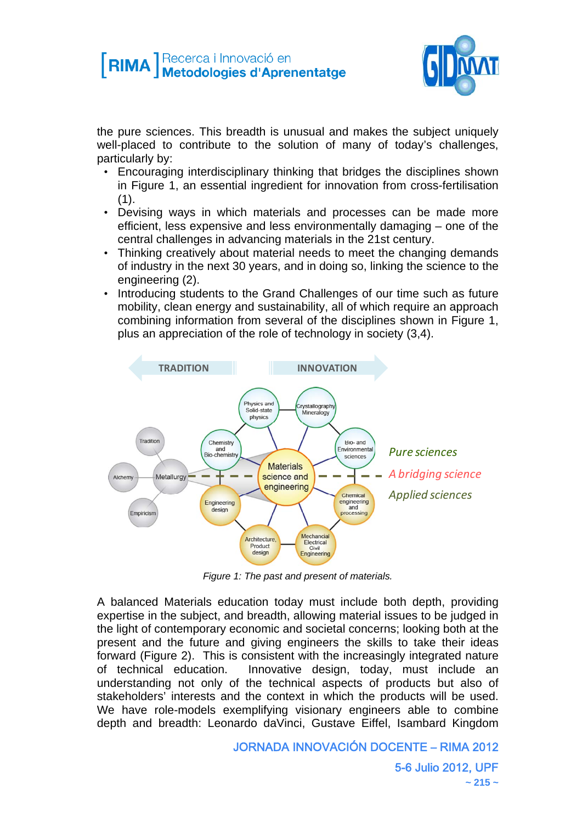# **[RIMA** Recerca i Innovació en



the pure sciences. This breadth is unusual and makes the subject uniquely well-placed to contribute to the solution of many of today's challenges, particularly by:

- Encouraging interdisciplinary thinking that bridges the disciplines shown in Figure 1, an essential ingredient for innovation from cross-fertilisation  $(1)$ .
- Devising ways in which materials and processes can be made more efficient, less expensive and less environmentally damaging – one of the central challenges in advancing materials in the 21st century.
- Thinking creatively about material needs to meet the changing demands of industry in the next 30 years, and in doing so, linking the science to the engineering (2).
- Introducing students to the Grand Challenges of our time such as future mobility, clean energy and sustainability, all of which require an approach combining information from several of the disciplines shown in Figure 1, plus an appreciation of the role of technology in society (3,4).



*Figure 1: The past and present of materials.* 

A balanced Materials education today must include both depth, providing expertise in the subject, and breadth, allowing material issues to be judged in the light of contemporary economic and societal concerns; looking both at the present and the future and giving engineers the skills to take their ideas forward (Figure 2). This is consistent with the increasingly integrated nature of technical education. Innovative design, today, must include an understanding not only of the technical aspects of products but also of stakeholders' interests and the context in which the products will be used. We have role-models exemplifying visionary engineers able to combine depth and breadth: Leonardo daVinci, Gustave Eiffel, Isambard Kingdom

#### JORNADA INNOVACIÓN DOCENTE – RIMA 2012

5-6 Julio 2012, UPF  $\sim$  215  $\sim$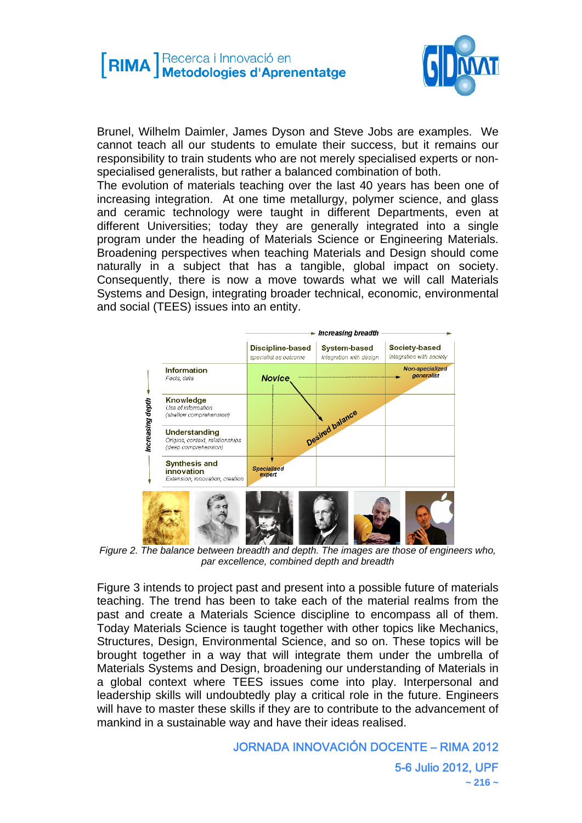

Brunel, Wilhelm Daimler, James Dyson and Steve Jobs are examples. We cannot teach all our students to emulate their success, but it remains our responsibility to train students who are not merely specialised experts or nonspecialised generalists, but rather a balanced combination of both.

The evolution of materials teaching over the last 40 years has been one of increasing integration. At one time metallurgy, polymer science, and glass and ceramic technology were taught in different Departments, even at different Universities; today they are generally integrated into a single program under the heading of Materials Science or Engineering Materials. Broadening perspectives when teaching Materials and Design should come naturally in a subject that has a tangible, global impact on society. Consequently, there is now a move towards what we will call Materials Systems and Design, integrating broader technical, economic, environmental and social (TEES) issues into an entity.



*Figure 2. The balance between breadth and depth. The images are those of engineers who, par excellence, combined depth and breadth* 

Figure 3 intends to project past and present into a possible future of materials teaching. The trend has been to take each of the material realms from the past and create a Materials Science discipline to encompass all of them. Today Materials Science is taught together with other topics like Mechanics, Structures, Design, Environmental Science, and so on. These topics will be brought together in a way that will integrate them under the umbrella of Materials Systems and Design, broadening our understanding of Materials in a global context where TEES issues come into play. Interpersonal and leadership skills will undoubtedly play a critical role in the future. Engineers will have to master these skills if they are to contribute to the advancement of mankind in a sustainable way and have their ideas realised.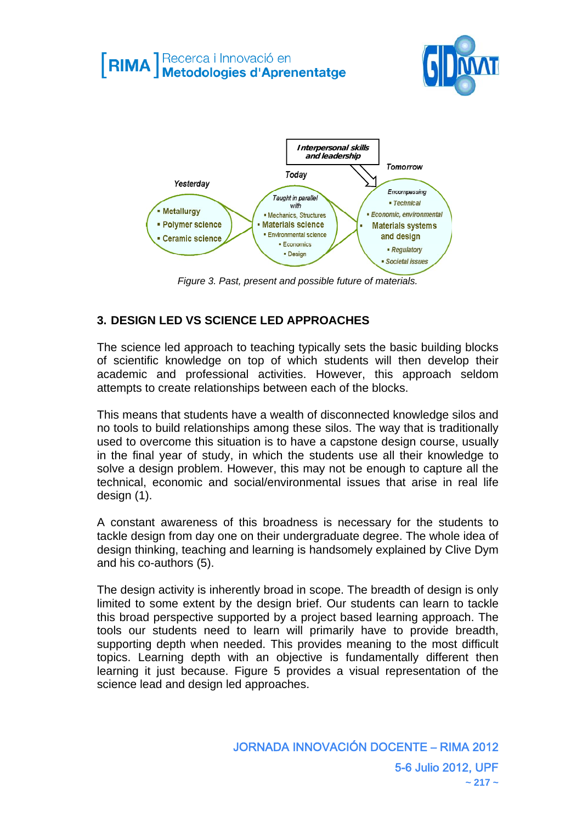# **[RIMA** Recerca i Innovació en





*Figure 3. Past, present and possible future of materials.* 

# **3. DESIGN LED VS SCIENCE LED APPROACHES**

The science led approach to teaching typically sets the basic building blocks of scientific knowledge on top of which students will then develop their academic and professional activities. However, this approach seldom attempts to create relationships between each of the blocks.

This means that students have a wealth of disconnected knowledge silos and no tools to build relationships among these silos. The way that is traditionally used to overcome this situation is to have a capstone design course, usually in the final year of study, in which the students use all their knowledge to solve a design problem. However, this may not be enough to capture all the technical, economic and social/environmental issues that arise in real life design (1).

A constant awareness of this broadness is necessary for the students to tackle design from day one on their undergraduate degree. The whole idea of design thinking, teaching and learning is handsomely explained by Clive Dym and his co-authors (5).

The design activity is inherently broad in scope. The breadth of design is only limited to some extent by the design brief. Our students can learn to tackle this broad perspective supported by a project based learning approach. The tools our students need to learn will primarily have to provide breadth, supporting depth when needed. This provides meaning to the most difficult topics. Learning depth with an objective is fundamentally different then learning it just because. Figure 5 provides a visual representation of the science lead and design led approaches.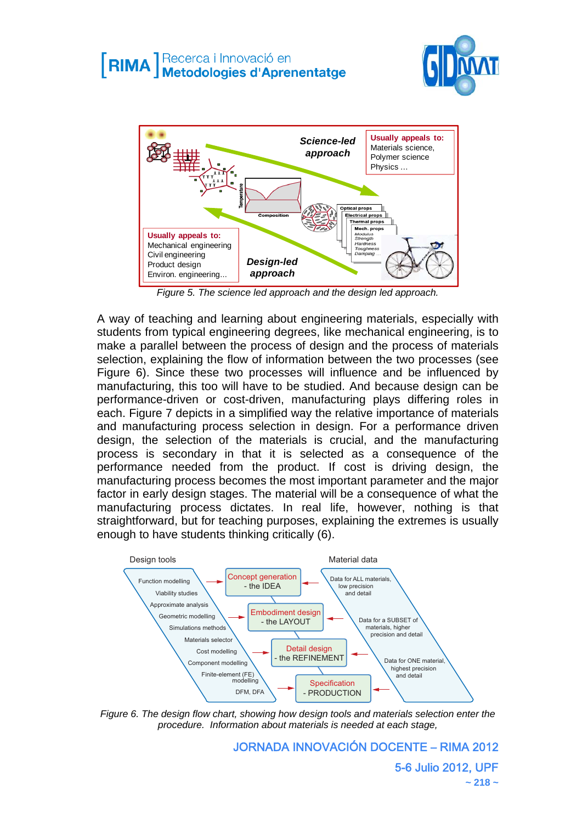



*Figure 5. The science led approach and the design led approach.* 

A way of teaching and learning about engineering materials, especially with students from typical engineering degrees, like mechanical engineering, is to make a parallel between the process of design and the process of materials selection, explaining the flow of information between the two processes (see Figure 6). Since these two processes will influence and be influenced by manufacturing, this too will have to be studied. And because design can be performance-driven or cost-driven, manufacturing plays differing roles in each. Figure 7 depicts in a simplified way the relative importance of materials and manufacturing process selection in design. For a performance driven design, the selection of the materials is crucial, and the manufacturing process is secondary in that it is selected as a consequence of the performance needed from the product. If cost is driving design, the manufacturing process becomes the most important parameter and the major factor in early design stages. The material will be a consequence of what the manufacturing process dictates. In real life, however, nothing is that straightforward, but for teaching purposes, explaining the extremes is usually enough to have students thinking critically (6).



*Figure 6. The design flow chart, showing how design tools and materials selection enter the procedure. Information about materials is needed at each stage,* 

JORNADA INNOVACIÓN DOCENTE – RIMA 2012 5-6 Julio 2012, UPF **~ 218 ~**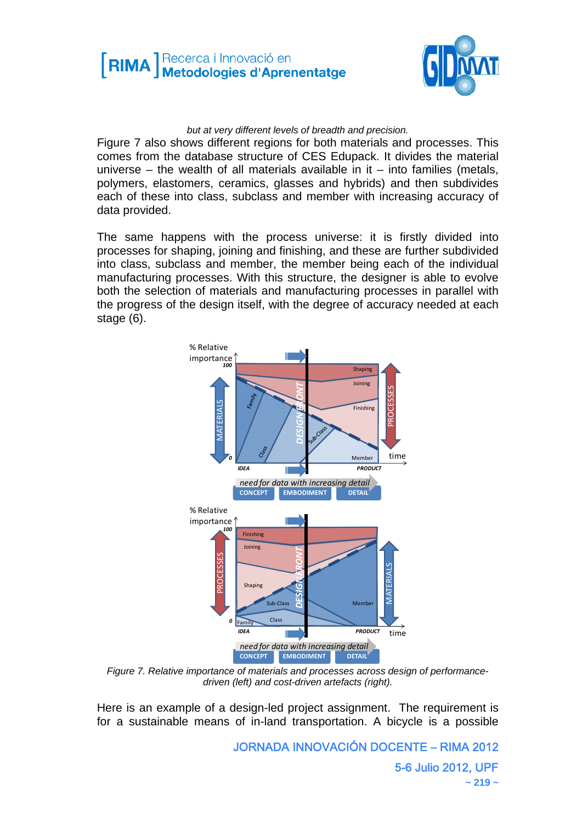



*but at very different levels of breadth and precision.* 

Figure 7 also shows different regions for both materials and processes. This comes from the database structure of CES Edupack. It divides the material universe – the wealth of all materials available in it – into families (metals, polymers, elastomers, ceramics, glasses and hybrids) and then subdivides each of these into class, subclass and member with increasing accuracy of data provided.

The same happens with the process universe: it is firstly divided into processes for shaping, joining and finishing, and these are further subdivided into class, subclass and member, the member being each of the individual manufacturing processes. With this structure, the designer is able to evolve both the selection of materials and manufacturing processes in parallel with the progress of the design itself, with the degree of accuracy needed at each stage (6).



*Figure 7. Relative importance of materials and processes across design of performancedriven (left) and cost-driven artefacts (right).* 

Here is an example of a design-led project assignment. The requirement is for a sustainable means of in-land transportation. A bicycle is a possible

> JORNADA INNOVACIÓN DOCENTE – RIMA 2012 5-6 Julio 2012, UPF **~ 219 ~**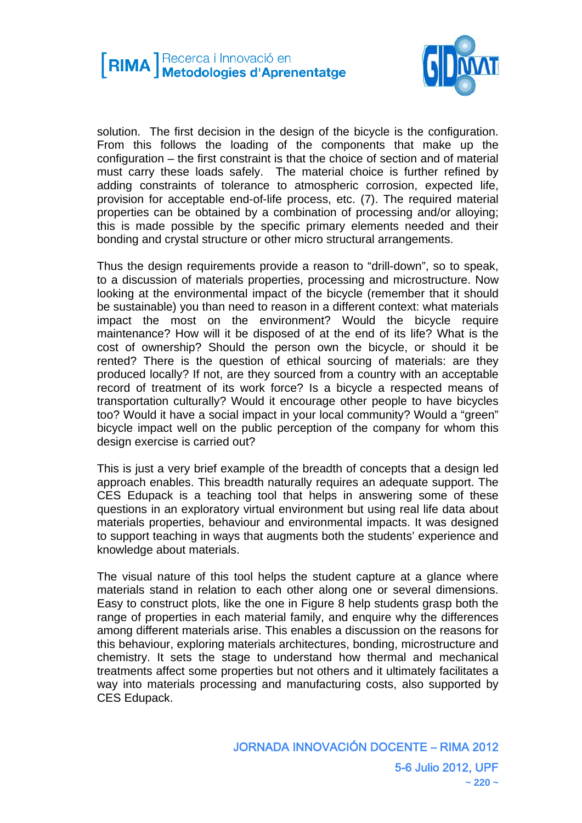

solution. The first decision in the design of the bicycle is the configuration. From this follows the loading of the components that make up the configuration – the first constraint is that the choice of section and of material must carry these loads safely. The material choice is further refined by adding constraints of tolerance to atmospheric corrosion, expected life, provision for acceptable end-of-life process, etc. (7). The required material properties can be obtained by a combination of processing and/or alloying; this is made possible by the specific primary elements needed and their bonding and crystal structure or other micro structural arrangements.

Thus the design requirements provide a reason to "drill-down", so to speak, to a discussion of materials properties, processing and microstructure. Now looking at the environmental impact of the bicycle (remember that it should be sustainable) you than need to reason in a different context: what materials impact the most on the environment? Would the bicycle require maintenance? How will it be disposed of at the end of its life? What is the cost of ownership? Should the person own the bicycle, or should it be rented? There is the question of ethical sourcing of materials: are they produced locally? If not, are they sourced from a country with an acceptable record of treatment of its work force? Is a bicycle a respected means of transportation culturally? Would it encourage other people to have bicycles too? Would it have a social impact in your local community? Would a "green" bicycle impact well on the public perception of the company for whom this design exercise is carried out?

This is just a very brief example of the breadth of concepts that a design led approach enables. This breadth naturally requires an adequate support. The CES Edupack is a teaching tool that helps in answering some of these questions in an exploratory virtual environment but using real life data about materials properties, behaviour and environmental impacts. It was designed to support teaching in ways that augments both the students' experience and knowledge about materials.

The visual nature of this tool helps the student capture at a glance where materials stand in relation to each other along one or several dimensions. Easy to construct plots, like the one in Figure 8 help students grasp both the range of properties in each material family, and enquire why the differences among different materials arise. This enables a discussion on the reasons for this behaviour, exploring materials architectures, bonding, microstructure and chemistry. It sets the stage to understand how thermal and mechanical treatments affect some properties but not others and it ultimately facilitates a way into materials processing and manufacturing costs, also supported by CES Edupack.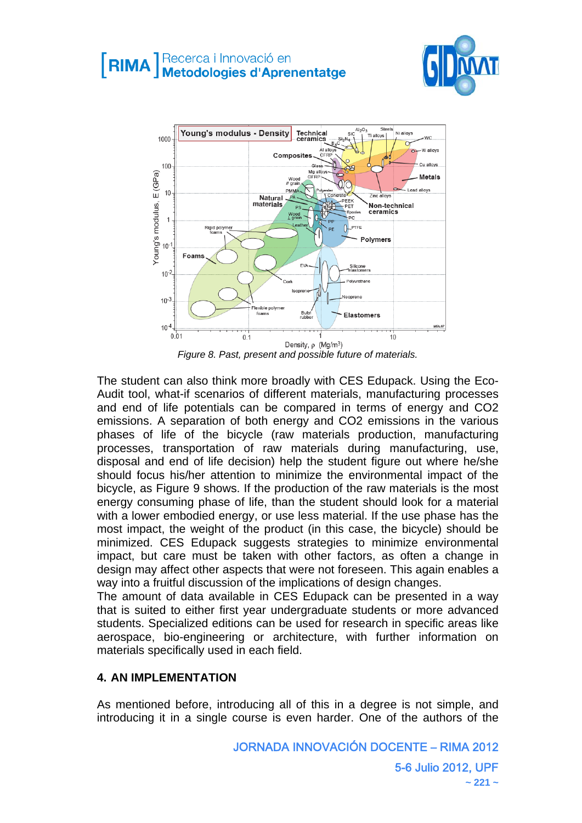



*Figure 8. Past, present and possible future of materials.* 

The student can also think more broadly with CES Edupack. Using the Eco-Audit tool, what-if scenarios of different materials, manufacturing processes and end of life potentials can be compared in terms of energy and CO2 emissions. A separation of both energy and CO2 emissions in the various phases of life of the bicycle (raw materials production, manufacturing processes, transportation of raw materials during manufacturing, use, disposal and end of life decision) help the student figure out where he/she should focus his/her attention to minimize the environmental impact of the bicycle, as Figure 9 shows. If the production of the raw materials is the most energy consuming phase of life, than the student should look for a material with a lower embodied energy, or use less material. If the use phase has the most impact, the weight of the product (in this case, the bicycle) should be minimized. CES Edupack suggests strategies to minimize environmental impact, but care must be taken with other factors, as often a change in design may affect other aspects that were not foreseen. This again enables a way into a fruitful discussion of the implications of design changes.

The amount of data available in CES Edupack can be presented in a way that is suited to either first year undergraduate students or more advanced students. Specialized editions can be used for research in specific areas like aerospace, bio-engineering or architecture, with further information on materials specifically used in each field.

# **4. AN IMPLEMENTATION**

As mentioned before, introducing all of this in a degree is not simple, and introducing it in a single course is even harder. One of the authors of the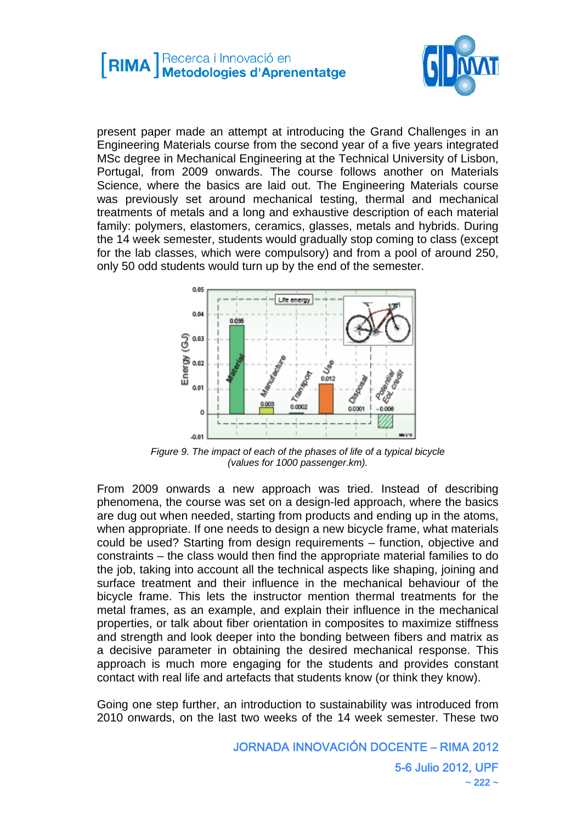

present paper made an attempt at introducing the Grand Challenges in an Engineering Materials course from the second year of a five years integrated MSc degree in Mechanical Engineering at the Technical University of Lisbon, Portugal, from 2009 onwards. The course follows another on Materials Science, where the basics are laid out. The Engineering Materials course was previously set around mechanical testing, thermal and mechanical treatments of metals and a long and exhaustive description of each material family: polymers, elastomers, ceramics, glasses, metals and hybrids. During the 14 week semester, students would gradually stop coming to class (except for the lab classes, which were compulsory) and from a pool of around 250, only 50 odd students would turn up by the end of the semester.



*Figure 9. The impact of each of the phases of life of a typical bicycle (values for 1000 passenger.km).* 

From 2009 onwards a new approach was tried. Instead of describing phenomena, the course was set on a design-led approach, where the basics are dug out when needed, starting from products and ending up in the atoms, when appropriate. If one needs to design a new bicycle frame, what materials could be used? Starting from design requirements – function, objective and constraints – the class would then find the appropriate material families to do the job, taking into account all the technical aspects like shaping, joining and surface treatment and their influence in the mechanical behaviour of the bicycle frame. This lets the instructor mention thermal treatments for the metal frames, as an example, and explain their influence in the mechanical properties, or talk about fiber orientation in composites to maximize stiffness and strength and look deeper into the bonding between fibers and matrix as a decisive parameter in obtaining the desired mechanical response. This approach is much more engaging for the students and provides constant contact with real life and artefacts that students know (or think they know).

Going one step further, an introduction to sustainability was introduced from 2010 onwards, on the last two weeks of the 14 week semester. These two

> JORNADA INNOVACIÓN DOCENTE – RIMA 2012 5-6 Julio 2012, UPF **~ 222 ~**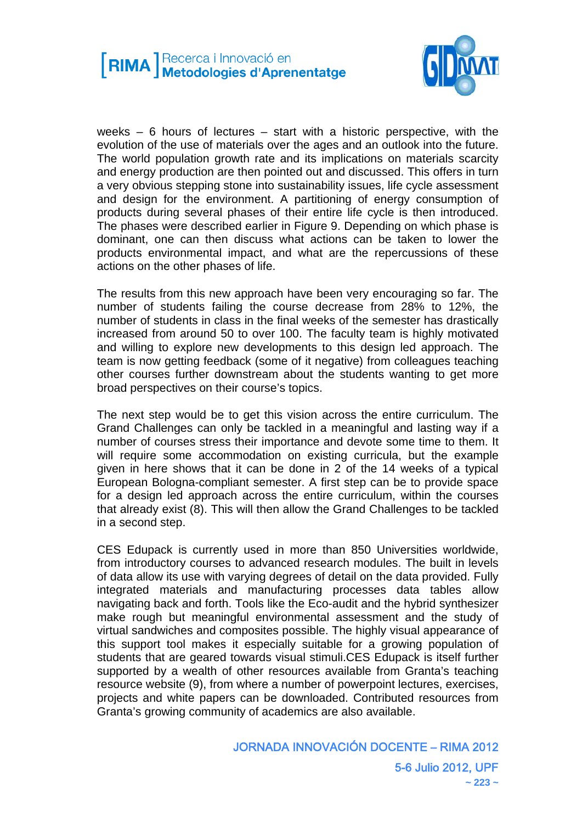

weeks – 6 hours of lectures – start with a historic perspective, with the evolution of the use of materials over the ages and an outlook into the future. The world population growth rate and its implications on materials scarcity and energy production are then pointed out and discussed. This offers in turn a very obvious stepping stone into sustainability issues, life cycle assessment and design for the environment. A partitioning of energy consumption of products during several phases of their entire life cycle is then introduced. The phases were described earlier in Figure 9. Depending on which phase is dominant, one can then discuss what actions can be taken to lower the products environmental impact, and what are the repercussions of these actions on the other phases of life.

The results from this new approach have been very encouraging so far. The number of students failing the course decrease from 28% to 12%, the number of students in class in the final weeks of the semester has drastically increased from around 50 to over 100. The faculty team is highly motivated and willing to explore new developments to this design led approach. The team is now getting feedback (some of it negative) from colleagues teaching other courses further downstream about the students wanting to get more broad perspectives on their course's topics.

The next step would be to get this vision across the entire curriculum. The Grand Challenges can only be tackled in a meaningful and lasting way if a number of courses stress their importance and devote some time to them. It will require some accommodation on existing curricula, but the example given in here shows that it can be done in 2 of the 14 weeks of a typical European Bologna-compliant semester. A first step can be to provide space for a design led approach across the entire curriculum, within the courses that already exist (8). This will then allow the Grand Challenges to be tackled in a second step.

CES Edupack is currently used in more than 850 Universities worldwide, from introductory courses to advanced research modules. The built in levels of data allow its use with varying degrees of detail on the data provided. Fully integrated materials and manufacturing processes data tables allow navigating back and forth. Tools like the Eco-audit and the hybrid synthesizer make rough but meaningful environmental assessment and the study of virtual sandwiches and composites possible. The highly visual appearance of this support tool makes it especially suitable for a growing population of students that are geared towards visual stimuli.CES Edupack is itself further supported by a wealth of other resources available from Granta's teaching resource website (9), from where a number of powerpoint lectures, exercises, projects and white papers can be downloaded. Contributed resources from Granta's growing community of academics are also available.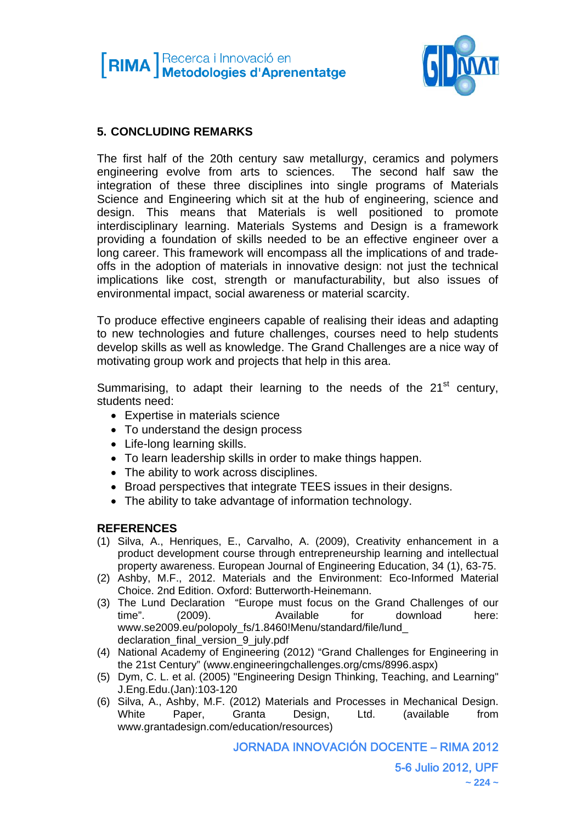



# **5. CONCLUDING REMARKS**

The first half of the 20th century saw metallurgy, ceramics and polymers engineering evolve from arts to sciences. The second half saw the integration of these three disciplines into single programs of Materials Science and Engineering which sit at the hub of engineering, science and design. This means that Materials is well positioned to promote interdisciplinary learning. Materials Systems and Design is a framework providing a foundation of skills needed to be an effective engineer over a long career. This framework will encompass all the implications of and tradeoffs in the adoption of materials in innovative design: not just the technical implications like cost, strength or manufacturability, but also issues of environmental impact, social awareness or material scarcity.

To produce effective engineers capable of realising their ideas and adapting to new technologies and future challenges, courses need to help students develop skills as well as knowledge. The Grand Challenges are a nice way of motivating group work and projects that help in this area.

Summarising, to adapt their learning to the needs of the  $21<sup>st</sup>$  century, students need:

- Expertise in materials science
- To understand the design process
- Life-long learning skills.
- To learn leadership skills in order to make things happen.
- The ability to work across disciplines.
- Broad perspectives that integrate TEES issues in their designs.
- The ability to take advantage of information technology.

#### **REFERENCES**

- (1) Silva, A., Henriques, E., Carvalho, A. (2009), Creativity enhancement in a product development course through entrepreneurship learning and intellectual property awareness. European Journal of Engineering Education, 34 (1), 63-75.
- (2) Ashby, M.F., 2012. Materials and the Environment: Eco-Informed Material Choice. 2nd Edition. Oxford: Butterworth-Heinemann.
- (3) The Lund Declaration "Europe must focus on the Grand Challenges of our time". (2009). Available for download here: www.se2009.eu/polopoly\_fs/1.8460!Menu/standard/file/lund\_ declaration\_final\_version\_9\_july.pdf
- (4) National Academy of Engineering (2012) "Grand Challenges for Engineering in the 21st Century" (www.engineeringchallenges.org/cms/8996.aspx)
- (5) Dym, C. L. et al. (2005) "Engineering Design Thinking, Teaching, and Learning" J.Eng.Edu.(Jan):103-120
- (6) Silva, A., Ashby, M.F. (2012) Materials and Processes in Mechanical Design. White Paper, Granta Design, Ltd. (available from www.grantadesign.com/education/resources)